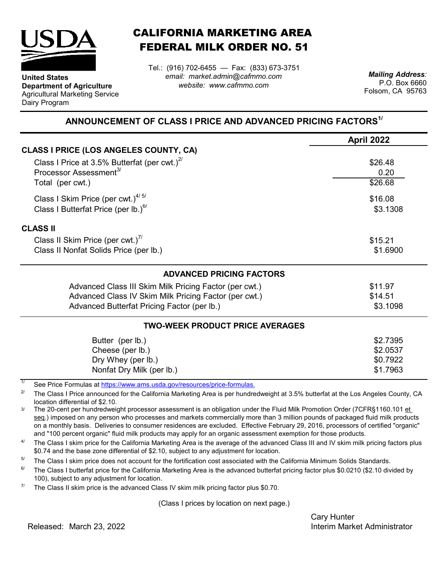

**Department of Agriculture** Agricultural Marketing Service

**United States**

Dairy Program

CALIFORNIA MARKETING AREA FEDERAL MILK ORDER NO. 51

*email: market.admin@cafmmo.com website: www.cafmmo.com* Tel.: (916) 702-6455 — Fax: (833) 673-3751 *Mailing Address:*

P.O. Box 6660 Folsom, CA 95763

## **ANNOUNCEMENT OF CLASS I PRICE AND ADVANCED PRICING FACTORS1/**

| April 2022 |
|------------|
|            |
| \$26.48    |
| 0.20       |
| \$26.68    |
| \$16.08    |
| \$3.1308   |
|            |
| \$15.21    |
| \$1.6900   |
|            |
| \$11.97    |
| \$14.51    |
| \$3.1098   |
|            |
| \$2.7395   |
| \$2.0537   |
| \$0.7922   |
| \$1.7963   |
|            |

1/ [See Price Formulas at h](https://www.ams.usda.gov/resources/price-formulas)ttps://www.ams.usda.gov/resources/price-formulas.

2/ The Class I Price announced for the California Marketing Area is per hundredweight at 3.5% butterfat at the Los Angeles County, CA location differential of \$2.10.

3/ The 20-cent per hundredweight processor assessment is an obligation under the Fluid Milk Promotion Order (7CFR§1160.101 et seq.) imposed on any person who processes and markets commercially more than 3 million pounds of packaged fluid milk products on a monthly basis. Deliveries to consumer residences are excluded. Effective February 29, 2016, processors of certified "organic" and "100 percent organic" fluid milk products may apply for an organic assessment exemption for those products.

 $\Delta l$ The Class I skim price for the California Marketing Area is the average of the advanced Class III and IV skim milk pricing factors plus \$0.74 and the base zone differential of \$2.10, subject to any adjustment for location.

5/ The Class I skim price does not account for the fortification cost associated with the California Minimum Solids Standards.

 $6/$ The Class I butterfat price for the California Marketing Area is the advanced butterfat pricing factor plus \$0.0210 (\$2.10 divided by 100), subject to any adjustment for location.

7/ The Class II skim price is the advanced Class IV skim milk pricing factor plus \$0.70.

(Class I prices by location on next page.)

Cary Hunter Released: Interim Market Administrator March 23, 2022